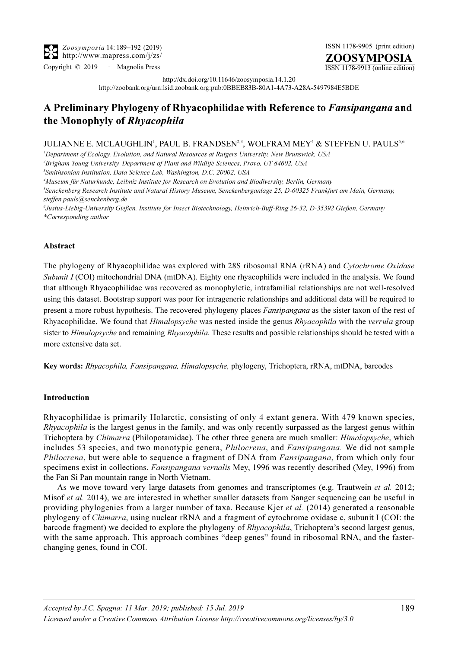Copyright © 2019 · Magnolia Press ISSN 1178-9913 (online edition)

ISSN 1178-9905 (print edition)

ZOOSYMPOSIA

http://dx.doi.org/10.11646/zoosymposia.14.1.20

http://zoobank.org/urn:lsid:zoobank.org:pub:0BBEB83B-80A1-4A73-A28A-5497984E5BDE

# A Preliminary Phylogeny of Rhyacophilidae with Reference to Fansipangana and the Monophyly of Rhyacophila

## JULIANNE E. MCLAUGHLIN<sup>1</sup>, PAUL B. FRANDSEN $^{2,3}$ , WOLFRAM MEY $^4$  & STEFFEN U. PAULS $^{5,6}$

<sup>1</sup>Department of Ecology, Evolution, and Natural Resources at Rutgers University, New Brunswick, USA

<sup>2</sup>Brigham Young University, Department of Plant and Wildlife Sciences, Provo, UT 84602, USA

<sup>3</sup> Smithsonian Institution, Data Science Lab, Washington, D.C. 20002, USA

4 Museum für Naturkunde, Leibniz Institute for Research on Evolution and Biodiversity, Berlin, Germany

5 Senckenberg Research Institute and Natural History Museum, Senckenberganlage 25, D-60325 Frankfurt am Main, Germany, steffen.pauls@senckenberg.de

6 Justus-Liebig-University Gießen, Institute for Insect Biotechnology, Heinrich-Buff-Ring 26-32, D-35392 Gießen, Germany \*Corresponding author

## Abstract

The phylogeny of Rhyacophilidae was explored with 28S ribosomal RNA (rRNA) and Cytochrome Oxidase Subunit I (COI) mitochondrial DNA (mtDNA). Eighty one rhyacophilids were included in the analysis. We found that although Rhyacophilidae was recovered as monophyletic, intrafamilial relationships are not well-resolved using this dataset. Bootstrap support was poor for intrageneric relationships and additional data will be required to present a more robust hypothesis. The recovered phylogeny places Fansipangana as the sister taxon of the rest of Rhyacophilidae. We found that *Himalopsyche* was nested inside the genus *Rhyacophila* with the *verrula* group sister to Himalopsyche and remaining Rhyacophila. These results and possible relationships should be tested with a more extensive data set.

Key words: Rhyacophila, Fansipangana, Himalopsyche, phylogeny, Trichoptera, rRNA, mtDNA, barcodes

## Introduction

Rhyacophilidae is primarily Holarctic, consisting of only 4 extant genera. With 479 known species, Rhyacophila is the largest genus in the family, and was only recently surpassed as the largest genus within Trichoptera by Chimarra (Philopotamidae). The other three genera are much smaller: Himalopsyche, which includes 53 species, and two monotypic genera, *Philocrena*, and *Fansipangana*. We did not sample Philocrena, but were able to sequence a fragment of DNA from *Fansipangana*, from which only four specimens exist in collections. Fansipangana vernalis Mey, 1996 was recently described (Mey, 1996) from the Fan Si Pan mountain range in North Vietnam.

As we move toward very large datasets from genomes and transcriptomes (e.g. Trautwein et al. 2012; Misof et al. 2014), we are interested in whether smaller datasets from Sanger sequencing can be useful in providing phylogenies from a larger number of taxa. Because Kjer et al. (2014) generated a reasonable phylogeny of Chimarra, using nuclear rRNA and a fragment of cytochrome oxidase c, subunit I (COI: the barcode fragment) we decided to explore the phylogeny of Rhyacophila, Trichoptera's second largest genus, with the same approach. This approach combines "deep genes" found in ribosomal RNA, and the fasterchanging genes, found in COI.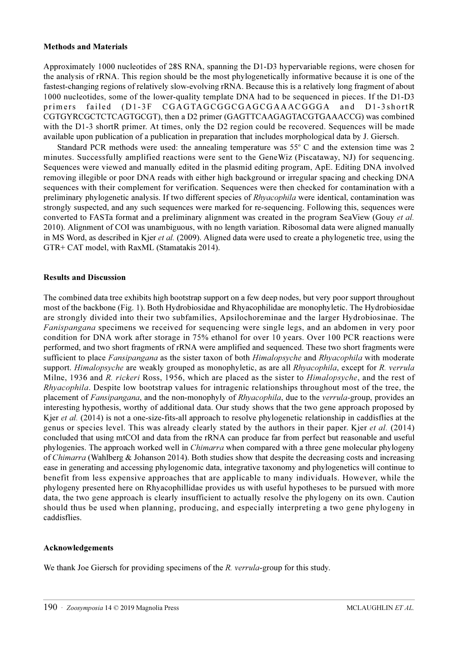### Methods and Materials

Approximately 1000 nucleotides of 28S RNA, spanning the D1-D3 hypervariable regions, were chosen for the analysis of rRNA. This region should be the most phylogenetically informative because it is one of the fastest-changing regions of relatively slow-evolving rRNA. Because this is a relatively long fragment of about 1000 nucleotides, some of the lower-quality template DNA had to be sequenced in pieces. If the D1-D3 primers failed (D1-3F CGAGTAGCGGCGAGCGAAACGGGA and D1-3shortR CGTGYRCGCTCTCAGTGCGT), then a D2 primer (GAGTTCAAGAGTACGTGAAACCG) was combined with the D1-3 shortR primer. At times, only the D2 region could be recovered. Sequences will be made available upon publication of a publication in preparation that includes morphological data by J. Giersch.

Standard PCR methods were used: the annealing temperature was  $55^{\circ}$  C and the extension time was 2 minutes. Successfully amplified reactions were sent to the GeneWiz (Piscataway, NJ) for sequencing. Sequences were viewed and manually edited in the plasmid editing program, ApE. Editing DNA involved removing illegible or poor DNA reads with either high background or irregular spacing and checking DNA sequences with their complement for verification. Sequences were then checked for contamination with a preliminary phylogenetic analysis. If two different species of Rhyacophila were identical, contamination was strongly suspected, and any such sequences were marked for re-sequencing. Following this, sequences were converted to FASTa format and a preliminary alignment was created in the program SeaView (Gouy et al. 2010). Alignment of COI was unambiguous, with no length variation. Ribosomal data were aligned manually in MS Word, as described in Kjer *et al.* (2009). Aligned data were used to create a phylogenetic tree, using the GTR+ CAT model, with RaxML (Stamatakis 2014).

#### Results and Discussion

The combined data tree exhibits high bootstrap support on a few deep nodes, but very poor support throughout most of the backbone (Fig. 1). Both Hydrobiosidae and Rhyacophilidae are monophyletic. The Hydrobiosidae are strongly divided into their two subfamilies, Apsilochoreminae and the larger Hydrobiosinae. The Fanispangana specimens we received for sequencing were single legs, and an abdomen in very poor condition for DNA work after storage in 75% ethanol for over 10 years. Over 100 PCR reactions were performed, and two short fragments of rRNA were amplified and sequenced. These two short fragments were sufficient to place Fansipangana as the sister taxon of both Himalopsyche and Rhyacophila with moderate support. Himalopsyche are weakly grouped as monophyletic, as are all Rhyacophila, except for R. verrula Milne, 1936 and R. rickeri Ross, 1956, which are placed as the sister to *Himalopsyche*, and the rest of Rhyacophila. Despite low bootstrap values for intragenic relationships throughout most of the tree, the placement of Fansipangana, and the non-monophyly of Rhyacophila, due to the verrula-group, provides an interesting hypothesis, worthy of additional data. Our study shows that the two gene approach proposed by Kjer et al. (2014) is not a one-size-fits-all approach to resolve phylogenetic relationship in caddisflies at the genus or species level. This was already clearly stated by the authors in their paper. Kjer et al. (2014) concluded that using mtCOI and data from the rRNA can produce far from perfect but reasonable and useful phylogenies. The approach worked well in *Chimarra* when compared with a three gene molecular phylogeny of Chimarra (Wahlberg & Johanson 2014). Both studies show that despite the decreasing costs and increasing ease in generating and accessing phylogenomic data, integrative taxonomy and phylogenetics will continue to benefit from less expensive approaches that are applicable to many individuals. However, while the phylogeny presented here on Rhyacophillidae provides us with useful hypotheses to be pursued with more data, the two gene approach is clearly insufficient to actually resolve the phylogeny on its own. Caution should thus be used when planning, producing, and especially interpreting a two gene phylogeny in caddisflies.

#### Acknowledgements

We thank Joe Giersch for providing specimens of the R. verrula-group for this study.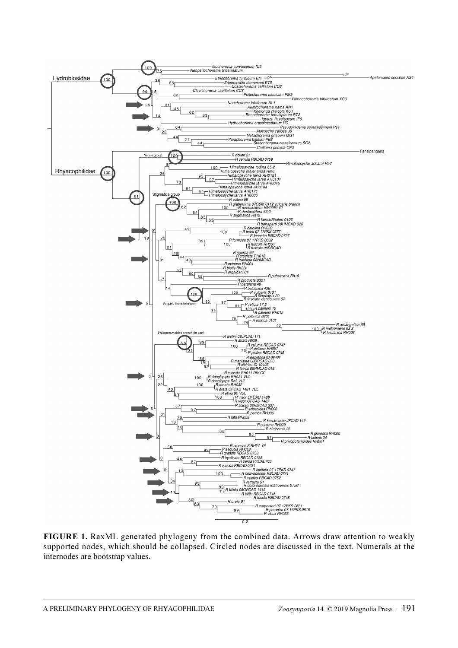

FIGURE 1. RaxML generated phylogeny from the combined data. Arrows draw attention to weakly supported nodes, which should be collapsed. Circled nodes are discussed in the text. Numerals at the internodes are bootstrap values.